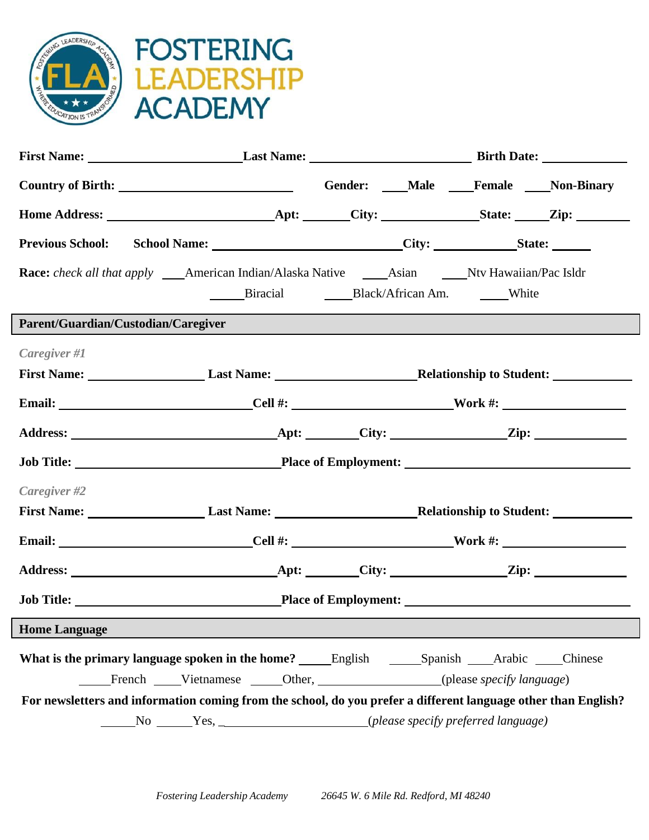

|                                                                                                            |                                                                               |                                  | First Name: Last Name: Last Name: Birth Date:                                                                                                                                                                                       |
|------------------------------------------------------------------------------------------------------------|-------------------------------------------------------------------------------|----------------------------------|-------------------------------------------------------------------------------------------------------------------------------------------------------------------------------------------------------------------------------------|
|                                                                                                            |                                                                               |                                  |                                                                                                                                                                                                                                     |
|                                                                                                            |                                                                               |                                  |                                                                                                                                                                                                                                     |
| Previous School: School Name: City: City: State: City:                                                     |                                                                               |                                  |                                                                                                                                                                                                                                     |
| Race: check all that apply _____ American Indian/Alaska Native ______ Asian _______ Ntv Hawaiian/Pac Isldr |                                                                               |                                  |                                                                                                                                                                                                                                     |
|                                                                                                            |                                                                               | Biracial Black/African Am. White |                                                                                                                                                                                                                                     |
| Parent/Guardian/Custodian/Caregiver                                                                        |                                                                               |                                  |                                                                                                                                                                                                                                     |
| Caregiver #1                                                                                               |                                                                               |                                  |                                                                                                                                                                                                                                     |
|                                                                                                            |                                                                               |                                  | First Name: ____________________________Last Name: _______________________________Relationship to Student: __________________                                                                                                       |
|                                                                                                            |                                                                               |                                  |                                                                                                                                                                                                                                     |
|                                                                                                            |                                                                               |                                  |                                                                                                                                                                                                                                     |
|                                                                                                            |                                                                               |                                  | Job Title: <u>New York: Place of Employment:</u> New York: New York: New York: New York: New York: New York: New York: New York: New York: New York: New York: New York: New York: New York: New York: New York: New York: New York |
| Caregiver#2                                                                                                |                                                                               |                                  |                                                                                                                                                                                                                                     |
|                                                                                                            |                                                                               |                                  |                                                                                                                                                                                                                                     |
|                                                                                                            |                                                                               |                                  |                                                                                                                                                                                                                                     |
|                                                                                                            |                                                                               |                                  |                                                                                                                                                                                                                                     |
|                                                                                                            |                                                                               |                                  | Job Title: <u>New York:</u> Place of Employment: New York: New York: New York: New York: New York: New York: New York: New York: New York: New York: New York: New York: New York: New York: New York: New York: New York: New York |
| <b>Home Language</b>                                                                                       |                                                                               |                                  |                                                                                                                                                                                                                                     |
|                                                                                                            |                                                                               |                                  |                                                                                                                                                                                                                                     |
|                                                                                                            | French ____Vietnamese _____Other, __________________(please specify language) |                                  |                                                                                                                                                                                                                                     |
| No                                                                                                         |                                                                               |                                  | For newsletters and information coming from the school, do you prefer a different language other than English?<br>(please specify preferred language)                                                                               |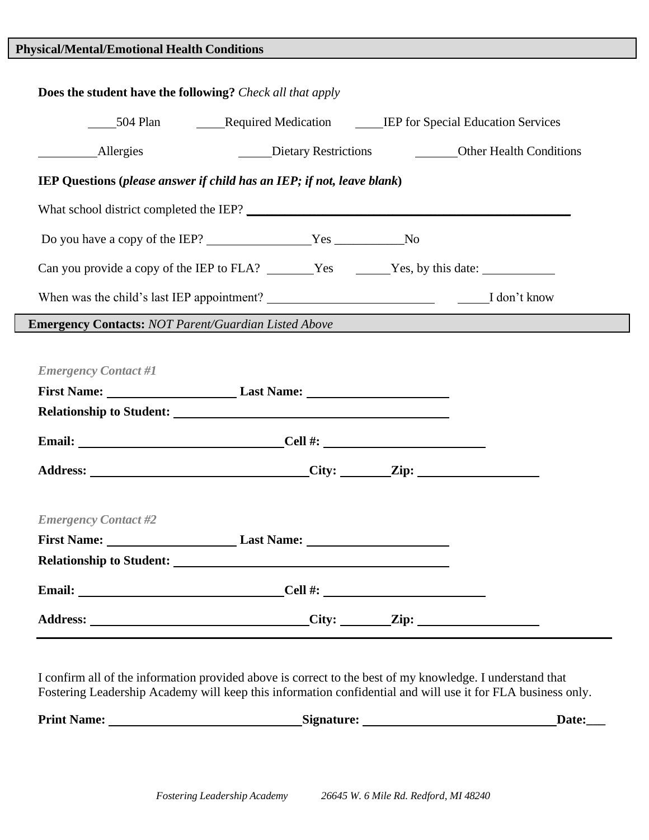| <b>Physical/Mental/Emotional Health Conditions</b> |                                                                                                                                                                                                                                |  |
|----------------------------------------------------|--------------------------------------------------------------------------------------------------------------------------------------------------------------------------------------------------------------------------------|--|
|                                                    |                                                                                                                                                                                                                                |  |
|                                                    | <b>Does the student have the following?</b> Check all that apply                                                                                                                                                               |  |
|                                                    |                                                                                                                                                                                                                                |  |
| Allergies                                          | Dietary Restrictions Discovery 2011 Conditions                                                                                                                                                                                 |  |
|                                                    | <b>IEP</b> Questions (please answer if child has an IEP; if not, leave blank)                                                                                                                                                  |  |
|                                                    |                                                                                                                                                                                                                                |  |
|                                                    |                                                                                                                                                                                                                                |  |
|                                                    | Can you provide a copy of the IEP to FLA? _______Yes ______Yes, by this date: ______________________                                                                                                                           |  |
|                                                    |                                                                                                                                                                                                                                |  |
|                                                    | <b>Emergency Contacts: NOT Parent/Guardian Listed Above</b><br><b>STATE OF STATE OF STATE OF STATE OF STATE OF STATE OF STATE OF STATE OF STATE OF STATE OF STATE OF STATE OF S</b>                                            |  |
|                                                    |                                                                                                                                                                                                                                |  |
| <b>Emergency Contact #1</b>                        |                                                                                                                                                                                                                                |  |
|                                                    | First Name: Last Name: Last Name:                                                                                                                                                                                              |  |
|                                                    | Relationship to Student: New York Channels and Students and Students and Students and Students and Students and Students and Students and Students and Students and Students and Students and Students and Students and Studen |  |
|                                                    |                                                                                                                                                                                                                                |  |
|                                                    |                                                                                                                                                                                                                                |  |
| <b>Emergency Contact #2</b>                        |                                                                                                                                                                                                                                |  |
|                                                    | First Name: Last Name: Last Name:                                                                                                                                                                                              |  |
|                                                    |                                                                                                                                                                                                                                |  |
|                                                    | Email: Cell #:                                                                                                                                                                                                                 |  |
|                                                    |                                                                                                                                                                                                                                |  |

I confirm all of the information provided above is correct to the best of my knowledge. I understand that Fostering Leadership Academy will keep this information confidential and will use it for FLA business only.

| <b>Print Name:</b> | Signature: | <b>Date:</b> |
|--------------------|------------|--------------|
|                    |            |              |